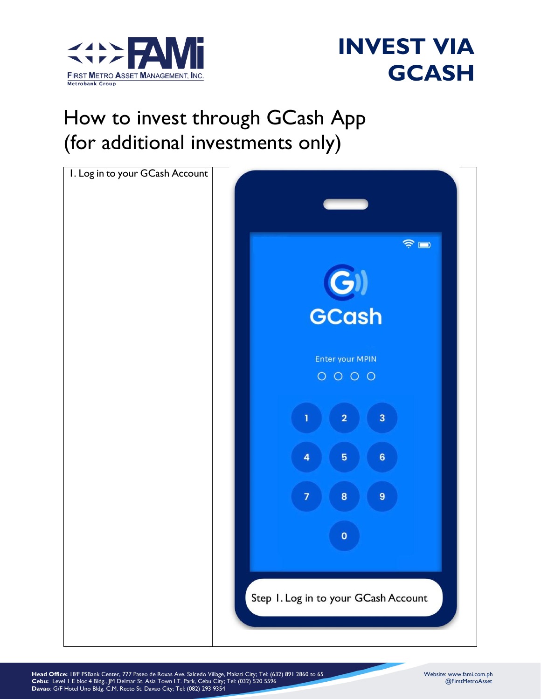



#### How to invest through GCash App (for additional investments only)



**Head Office:** 18/F PSBank Center, 777 Paseo de Roxas Ave. Salcedo Village, Makati City; Tel: (632) 891 2860 to 65 Website: www.fami.com.ph **Cebu:** Level 1 E bloc 4 Bldg., JM Delmar St. Asia Town I.T. Park, Cebu City; Tel: (032) 520 5596 @FirstMetroAsset **Davao**: G/F Hotel Uno Bldg. C.M. Recto St. Davao City; Tel: (082) 293 9354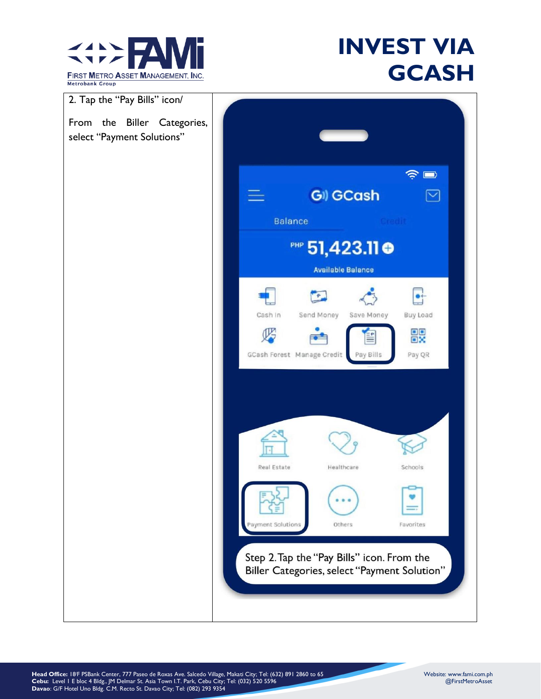



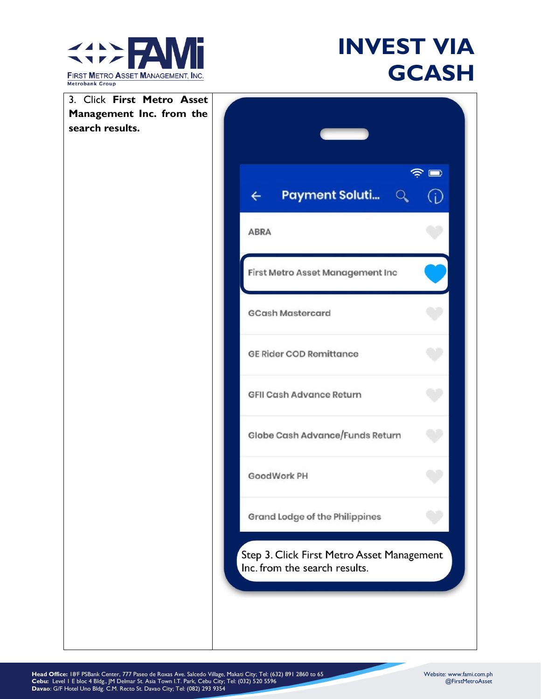

| 3. Click First Metro Asset                  |                                                                             |  |
|---------------------------------------------|-----------------------------------------------------------------------------|--|
| Management Inc. from the<br>search results. |                                                                             |  |
|                                             |                                                                             |  |
|                                             | $\widehat{\mathbb{R}}$                                                      |  |
|                                             | <b>Payment Soluti</b> $Q$<br>(i)<br>$\leftarrow$                            |  |
|                                             | <b>ABRA</b>                                                                 |  |
|                                             | First Metro Asset Management Inc                                            |  |
|                                             | <b>GCash Mastercard</b>                                                     |  |
|                                             | <b>GE Rider COD Remittance</b>                                              |  |
|                                             | <b>GFII Cash Advance Return</b>                                             |  |
|                                             | Globe Cash Advance/Funds Return                                             |  |
|                                             | GoodWork PH                                                                 |  |
|                                             | Grand Lodge of the Philippines                                              |  |
|                                             | Step 3. Click First Metro Asset Management<br>Inc. from the search results. |  |
|                                             |                                                                             |  |
|                                             |                                                                             |  |
|                                             |                                                                             |  |

**Head Office:** 18/F PSBank Center, 777 Paseo de Roxas Ave. Salcedo Village, Makati City; Tel: (632) 891 2860 to 65 Website: www.fami.com.ph **Cebu:** Level 1 E bloc 4 Bldg., JM Delmar St. Asia Town I.T. Park, Cebu City; Tel: (032) 520 5596 @FirstMetroAsset **Davao**: G/F Hotel Uno Bldg. C.M. Recto St. Davao City; Tel: (082) 293 9354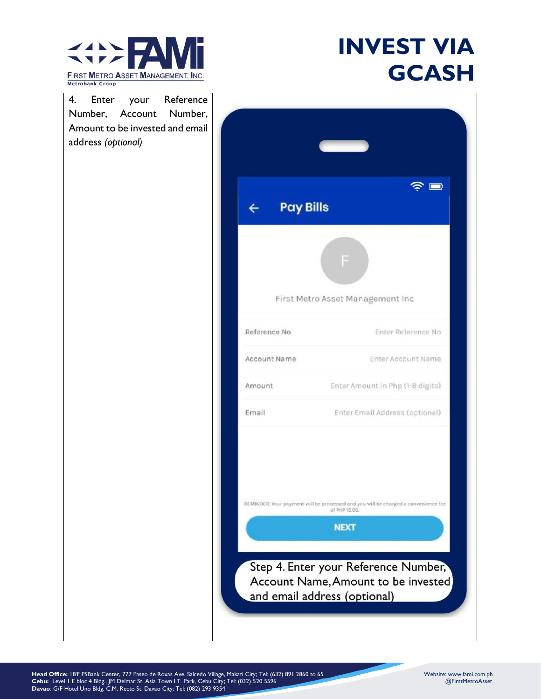

| 4.<br>Reference<br>Enter<br>your<br>Number,<br>Number,<br>Account<br>Amount to be invested and email<br>address (optional) |                                  |                                                                                                                                                                                                                                   |
|----------------------------------------------------------------------------------------------------------------------------|----------------------------------|-----------------------------------------------------------------------------------------------------------------------------------------------------------------------------------------------------------------------------------|
|                                                                                                                            | <b>Pay Bills</b><br>$\leftarrow$ | $\widehat{\mathbb{R}}$ $\blacksquare$                                                                                                                                                                                             |
|                                                                                                                            |                                  | F<br>First Metro Asset Management Inc                                                                                                                                                                                             |
|                                                                                                                            | Reference No                     | Enter Reference No                                                                                                                                                                                                                |
|                                                                                                                            | Account Name                     | Enter Account Name                                                                                                                                                                                                                |
|                                                                                                                            | Amount                           | Enter Amount in Php (1-8 digits)                                                                                                                                                                                                  |
|                                                                                                                            | Email                            | Enter Email Address (optional)                                                                                                                                                                                                    |
|                                                                                                                            |                                  | REMINDER: Your payment will be processed and you will be charged a convenience fee<br>of PHP 15.00.<br><b>NEXT</b><br>Step 4. Enter your Reference Number,<br>Account Name, Amount to be invested<br>and email address (optional) |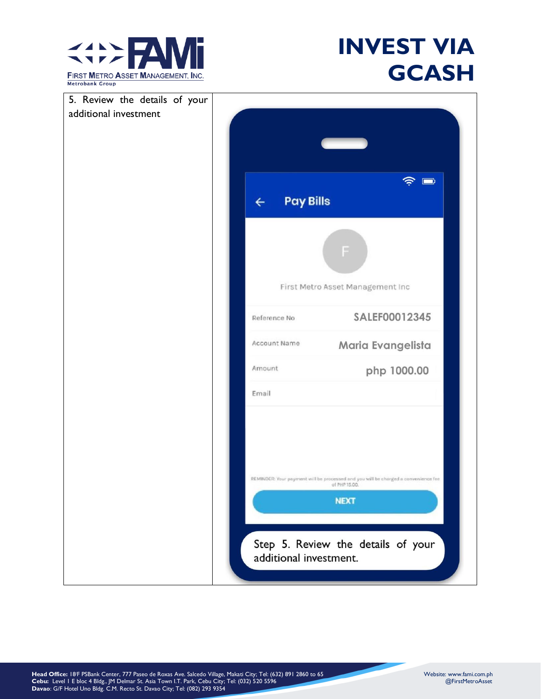

| 5. Review the details of your |                                                                                                                    |
|-------------------------------|--------------------------------------------------------------------------------------------------------------------|
| additional investment         |                                                                                                                    |
|                               |                                                                                                                    |
|                               |                                                                                                                    |
|                               | $\widehat{\mathbb{R}}$                                                                                             |
|                               | <b>Pay Bills</b><br>$\leftarrow$                                                                                   |
|                               |                                                                                                                    |
|                               | F                                                                                                                  |
|                               | First Metro Asset Management Inc                                                                                   |
|                               | SALEF00012345<br>Reference No                                                                                      |
|                               | Account Name<br>Maria Evangelista                                                                                  |
|                               | Amount<br>php 1000.00                                                                                              |
|                               | Email                                                                                                              |
|                               | REMINDER: Your payment will be processed and you will be charged a convenience fee<br>of PHP 15.00.<br><b>NEXT</b> |
|                               | Step 5. Review the details of your<br>additional investment.                                                       |